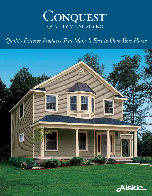

# *Quality Exterior Products That Make It Easy to Own Your Home*



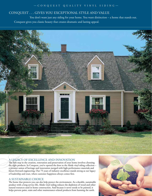# — CONQUEST QUALITY VINYL SIDING —

# CONQUEST . . . GIVES YOU EXCEPTIONAL STYLE AND VALUE

You don't want just any siding for your home. You want distinction – a home that stands out. Conquest gives you classic beauty that creates dramatic and lasting appeal.



## A LEGACY OF EXCELLENCE AND INNOVATION

The first step in the creation, renovation and preservation of your home involves choosing the right products. In Conquest, you've opened the door to the Alside vinyl siding collection – a premier union of heritage and innovation merged with high-performance materials and future-forward engineering. Our 75 years of industry excellence stands strong as our legacy of leadership and trust, where customer happiness always comes first.

#### A SUSTAINABLE CHOICE

The home that protects you can also help protect the environment. As a durable, sustainable product with a long service life, Alside vinyl siding reduces the depletion of wood and other natural resources used in home construction. And because it never needs to be painted, it helps prevent paint, stain and other maintenance-related products from harming the earth.

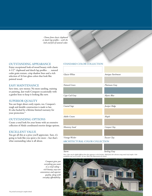*Choose from classic clapboard or dutch lap profiles – with the look and feel of natural cedar.*

#### OUTSTANDING APPEARANCE

Enjoy exceptional look-of-wood beauty with classic 4-1/2" clapboard and dutch lap profiles . . . natural cedar grain texture, crisp shadow lines and a rich selection of 16 low-gloss colors that look like painted wood.

#### EASY MAINTENANCE

Save time, save money. No more sanding, staining or painting. Just wash Conquest occasionally with a garden hose to keep it looking like new.

#### SUPERIOR QUALITY

You can forget about costly repairs, too. Conquest's tough and durable construction is made to last. It's also backed by a lifetime limited warranty for your protection.\*

#### OUTSTANDING OPTIONS

Create a total look for your home with an extensive collection of Alside coordinated exterior design options.

#### EXCELLENT VALUE

You get all this at a price you'll appreciate. Sure, it's going to look like you spent a lot more – but that's what outstanding value is all about.

#### STANDARD COLOR COLLECTION

| Glacier White                  | Antique Parchment |
|--------------------------------|-------------------|
|                                |                   |
|                                |                   |
| Natural Linen                  | Platinum Gray     |
|                                |                   |
|                                |                   |
| Cape Cod Gray                  | Mystic Blue       |
|                                |                   |
| Coastal Sage                   |                   |
|                                | Juniper Ridge     |
|                                |                   |
| Adobe Cream                    | Maple             |
|                                |                   |
|                                |                   |
| Monterey Sand                  | Canyon Clay       |
|                                |                   |
|                                |                   |
| Vintage Wicker                 | Tuscan Clay       |
| ARCHITECTURAL COLOR COLLECTION |                   |

#### *Storm Sterling Gray*

Note: Colors may be slightly different from their apperance in this brochure. Make final color selections using actual vinyl samples. Color<br>availability may vary by market. See your Alside Sales Representative for details.

*Conquest gives you everything you want in a vinyl siding – rich beauty, easy-care convenience and superior quality, along with everyday affordability.*